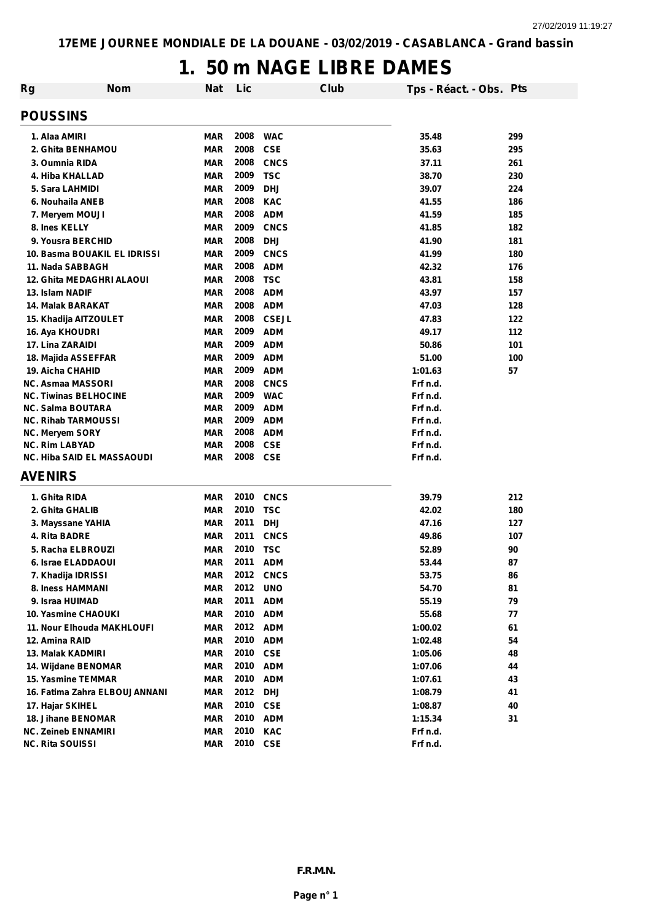## **1. 50 m NAGE LIBRE DAMES**

| Rg                           | <b>Nom</b>                    | Nat                      | Lic              | Club                     | Tps - Réact. - Obs. Pts |     |
|------------------------------|-------------------------------|--------------------------|------------------|--------------------------|-------------------------|-----|
| <b>POUSSINS</b>              |                               |                          |                  |                          |                         |     |
| 1. Alaa AMIRI                |                               | <b>MAR</b>               | 2008             | <b>WAC</b>               | 35.48                   | 299 |
| 2. Ghita BENHAMOU            |                               | <b>MAR</b>               | 2008             | <b>CSE</b>               | 35.63                   | 295 |
| 3. Oumnia RIDA               |                               | <b>MAR</b>               | 2008             | <b>CNCS</b>              | 37.11                   | 261 |
| 4. Hiba KHALLAD              |                               | <b>MAR</b>               | 2009             | <b>TSC</b>               | 38.70                   | 230 |
| 5. Sara LAHMIDI              |                               | <b>MAR</b>               | 2009             | <b>DHJ</b>               | 39.07                   | 224 |
| 6. Nouhaila ANEB             |                               | <b>MAR</b>               | 2008             | <b>KAC</b>               | 41.55                   | 186 |
| 7. Meryem MOUJI              |                               | <b>MAR</b>               | 2008             | <b>ADM</b>               | 41.59                   | 185 |
| 8. Ines KELLY                |                               | <b>MAR</b>               | 2009             | <b>CNCS</b>              | 41.85                   | 182 |
| 9. Yousra BERCHID            |                               | <b>MAR</b>               | 2008             | <b>DHJ</b>               | 41.90                   | 181 |
|                              | 10. Basma BOUAKIL EL IDRISSI  | <b>MAR</b>               | 2009             | <b>CNCS</b>              | 41.99                   | 180 |
| 11. Nada SABBAGH             |                               | <b>MAR</b>               | 2008             | <b>ADM</b>               | 42.32                   | 176 |
|                              | 12. Ghita MEDAGHRI ALAOUI     | <b>MAR</b>               | 2008             | <b>TSC</b>               | 43.81                   | 158 |
| 13. Islam NADIF              |                               | <b>MAR</b>               | 2008             | <b>ADM</b>               | 43.97                   | 157 |
| 14. Malak BARAKAT            |                               | <b>MAR</b>               | 2008             | <b>ADM</b>               | 47.03                   | 128 |
| 15. Khadija AITZOULET        |                               | <b>MAR</b>               | 2008             | <b>CSEJL</b>             | 47.83                   | 122 |
| 16. Aya KHOUDRI              |                               | <b>MAR</b>               | 2009             | <b>ADM</b>               | 49.17                   | 112 |
| 17. Lina ZARAIDI             |                               | <b>MAR</b>               | 2009             | <b>ADM</b>               | 50.86                   | 101 |
| 18. Majida ASSEFFAR          |                               | <b>MAR</b>               | 2009             | <b>ADM</b>               | 51.00                   | 100 |
| 19. Aicha CHAHID             |                               | <b>MAR</b>               | 2009             | <b>ADM</b>               | 1:01.63                 | 57  |
| <b>NC. Asmaa MASSORI</b>     |                               | <b>MAR</b>               | 2008             | <b>CNCS</b>              | Frf n.d.                |     |
| <b>NC. Tiwinas BELHOCINE</b> |                               | <b>MAR</b>               | 2009             | <b>WAC</b>               | Frf n.d.                |     |
| <b>NC. Salma BOUTARA</b>     |                               | <b>MAR</b>               | 2009             | <b>ADM</b>               | Frf n.d.                |     |
| <b>NC. Rihab TARMOUSSI</b>   |                               | <b>MAR</b>               | 2009             | <b>ADM</b>               | Frf n.d.                |     |
| NC. Meryem SORY              |                               | <b>MAR</b>               | 2008<br>2008     | <b>ADM</b>               | Frf n.d.                |     |
| <b>NC. Rim LABYAD</b>        | NC. Hiba SAID EL MASSAOUDI    | <b>MAR</b><br><b>MAR</b> | 2008             | <b>CSE</b><br><b>CSE</b> | Frf n.d.<br>Frf n.d.    |     |
| <b>AVENIRS</b>               |                               |                          |                  |                          |                         |     |
| 1. Ghita RIDA                |                               | <b>MAR</b>               | 2010             | <b>CNCS</b>              | 39.79                   | 212 |
| 2. Ghita GHALIB              |                               | <b>MAR</b>               | 2010             | <b>TSC</b>               | 42.02                   | 180 |
| 3. Mayssane YAHIA            |                               | <b>MAR</b>               | 2011             | <b>DHJ</b>               | 47.16                   | 127 |
| 4. Rita BADRE                |                               | <b>MAR</b>               | 2011             | <b>CNCS</b>              | 49.86                   | 107 |
| 5. Racha ELBROUZI            |                               | <b>MAR</b>               | 2010             | <b>TSC</b>               | 52.89                   | 90  |
| 6. Israe ELADDAOUI           |                               | <b>MAR</b>               | 2011             | <b>ADM</b>               | 53.44                   | 87  |
| 7. Khadija IDRISSI           |                               | <b>MAR</b>               | 2012             | <b>CNCS</b>              | 53.75                   | 86  |
| 8. Iness HAMMANI             |                               | <b>MAR</b>               | 2012             | <b>UNO</b>               | 54.70                   | 81  |
| 9. Israa HUIMAD              |                               | <b>MAR</b>               | 2011             | <b>ADM</b>               | 55.19                   | 79  |
|                              |                               | <b>MAR</b>               | 2010             | <b>ADM</b>               | 55.68                   | 77  |
| 10. Yasmine CHAOUKI          |                               |                          |                  |                          |                         | 61  |
|                              | 11. Nour Elhouda MAKHLOUFI    | <b>MAR</b>               | 2012 ADM         |                          | 1:00.02                 |     |
| 12. Amina RAID               |                               | MAR                      | 2010             | <b>ADM</b>               | 1:02.48                 | 54  |
| 13. Malak KADMIRI            |                               | MAR                      | 2010 CSE         |                          | 1:05.06                 | 48  |
| 14. Wijdane BENOMAR          |                               | <b>MAR</b>               | 2010             | <b>ADM</b>               | 1:07.06                 | 44  |
| 15. Yasmine TEMMAR           |                               | <b>MAR</b>               | 2010             | <b>ADM</b>               | 1:07.61                 | 43  |
|                              | 16. Fatima Zahra ELBOUJANNANI | <b>MAR</b>               | 2012             | <b>DHJ</b>               | 1:08.79                 | 41  |
| 17. Hajar SKIHEL             |                               | <b>MAR</b>               | 2010 CSE         |                          | 1:08.87                 | 40  |
| 18. Jihane BENOMAR           |                               | <b>MAR</b>               | 2010 ADM         |                          | 1:15.34                 | 31  |
| <b>NC. Zeineb ENNAMIRI</b>   |                               | <b>MAR</b>               | 2010<br>2010 CSE | <b>KAC</b>               | Frf n.d.                |     |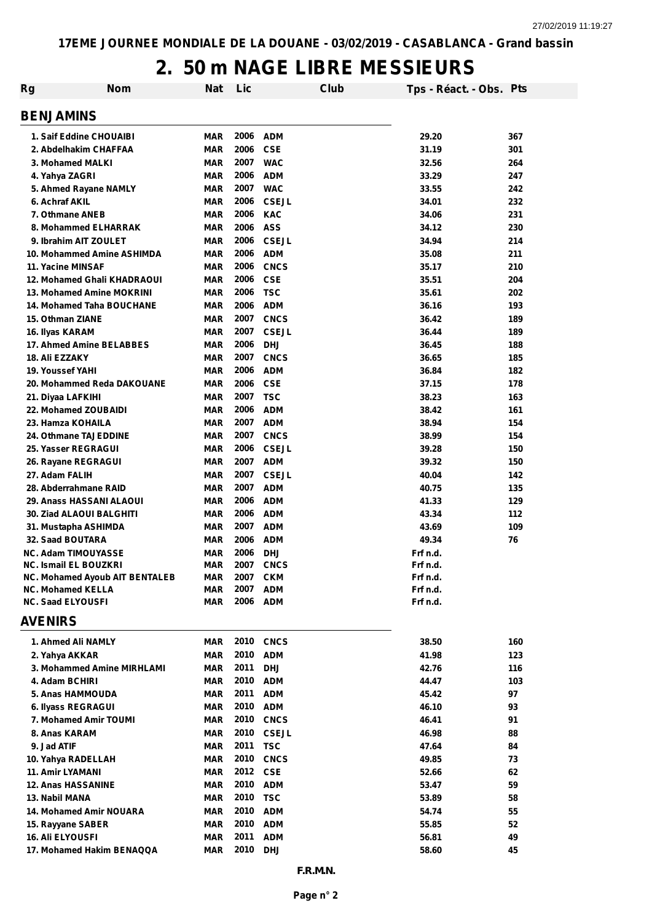## **2. 50 m NAGE LIBRE MESSIEURS**

| <b>BENJAMINS</b><br>2006<br>MAR<br>ADM<br>29.20<br>367<br>1. Saif Eddine CHOUAIBI<br>2006<br><b>CSE</b><br>2. Abdelhakim CHAFFAA<br>MAR<br>31.19<br>301<br>2007<br><b>WAC</b><br>32.56<br>264<br>3. Mohamed MALKI<br>MAR<br>2006<br><b>ADM</b><br>33.29<br>247<br>4. Yahya ZAGRI<br>MAR<br>2007<br>MAR<br><b>WAC</b><br>33.55<br>242<br>5. Ahmed Rayane NAMLY<br>2006<br>6. Achraf AKIL<br>MAR<br><b>CSEJL</b><br>34.01<br>232<br>2006<br><b>KAC</b><br>231<br>7. Othmane ANEB<br>MAR<br>34.06<br>2006<br><b>ASS</b><br>230<br>8. Mohammed ELHARRAK<br>MAR<br>34.12<br>2006<br>MAR<br><b>CSEJL</b><br>34.94<br>214<br>9. Ibrahim AIT ZOULET<br>2006<br><b>ADM</b><br><b>MAR</b><br>35.08<br>211<br>10. Mohammed Amine ASHIMDA<br>2006<br>11. Yacine MINSAF<br><b>MAR</b><br><b>CNCS</b><br>210<br>35.17<br>2006<br><b>MAR</b><br><b>CSE</b><br>35.51<br>204<br>12. Mohamed Ghali KHADRAOUI<br>2006<br>MAR<br><b>TSC</b><br>35.61<br>202<br>13. Mohamed Amine MOKRINI<br>2006<br><b>ADM</b><br>14. Mohamed Taha BOUCHANE<br>MAR<br>36.16<br>193<br>2007<br>15. Othman ZIANE<br><b>MAR</b><br><b>CNCS</b><br>36.42<br>189<br>MAR<br>2007<br><b>CSEJL</b><br>36.44<br>189<br>16. Ilyas KARAM<br>MAR<br>2006<br><b>DHJ</b><br>36.45<br>188<br>17. Ahmed Amine BELABBES<br><b>MAR</b><br>2007<br><b>CNCS</b><br>36.65<br>185<br>18. Ali EZZAKY<br>2006<br><b>MAR</b><br><b>ADM</b><br>36.84<br>182<br>19. Youssef YAHI<br>2006<br>20. Mohammed Reda DAKOUANE<br>MAR<br><b>CSE</b><br>178<br>37.15<br>2007<br><b>MAR</b><br><b>TSC</b><br>38.23<br>163<br>21. Diyaa LAFKIHI<br>2006<br><b>MAR</b><br><b>ADM</b><br>38.42<br>161<br>22. Mohamed ZOUBAIDI<br>2007<br><b>MAR</b><br><b>ADM</b><br>38.94<br>154<br>23. Hamza KOHAILA<br>2007<br><b>MAR</b><br><b>CNCS</b><br>38.99<br>154<br>24. Othmane TAJEDDINE<br>2006<br>25. Yasser REGRAGUI<br><b>MAR</b><br><b>CSEJL</b><br>39.28<br>150<br>MAR<br>2007<br><b>ADM</b><br>39.32<br>150<br>26. Rayane REGRAGUI<br>27. Adam FALIH<br>MAR<br>2007<br><b>CSEJL</b><br>40.04<br>142<br>2007<br><b>ADM</b><br>MAR<br>40.75<br>135<br>28. Abderrahmane RAID<br><b>MAR</b><br>2006<br><b>ADM</b><br>41.33<br>129<br>29. Anass HASSANI ALAOUI<br><b>MAR</b><br>2006<br><b>ADM</b><br>43.34<br>112<br>30. Ziad ALAOUI BALGHITI<br><b>MAR</b><br>2007<br><b>ADM</b><br>43.69<br>109<br>31. Mustapha ASHIMDA<br>2006<br><b>MAR</b><br><b>ADM</b><br>49.34<br>76<br>32. Saad BOUTARA<br><b>NC. Adam TIMOUYASSE</b><br>2006<br><b>DHJ</b><br>Frf n.d.<br>MAR<br><b>MAR</b><br>2007<br><b>CNCS</b><br><b>NC. Ismail EL BOUZKRI</b><br>Frf n.d.<br><b>MAR</b><br>2007<br>NC. Mohamed Ayoub AIT BENTALEB<br><b>CKM</b><br>Frf n.d.<br>2007<br><b>NC. Mohamed KELLA</b><br>MAR<br><b>ADM</b><br>Frf n.d.<br>2006<br><b>ADM</b><br><b>NC. Saad ELYOUSFI</b><br><b>MAR</b><br>Frf n.d.<br><b>AVENIRS</b><br>1. Ahmed Ali NAMLY<br>MAR<br><b>2010 CNCS</b><br>38.50<br>160<br>2010<br>2. Yahya AKKAR<br><b>ADM</b><br>41.98<br>123<br>MAR<br>2011<br>3. Mohammed Amine MIRHLAMI<br><b>DHJ</b><br>42.76<br>116<br>MAR<br>2010<br>4. Adam BCHIRI<br><b>ADM</b><br>103<br>MAR<br>44.47<br>2011<br><b>ADM</b><br>97<br>5. Anas HAMMOUDA<br>MAR<br>45.42<br>2010<br><b>ADM</b><br>MAR<br>46.10<br>93<br>6. Ilyass REGRAGUI<br>2010<br><b>CNCS</b><br>MAR<br>46.41<br>91<br>7. Mohamed Amir TOUMI<br>2010<br><b>CSEJL</b><br>8. Anas KARAM<br>MAR<br>46.98<br>88<br>2011<br><b>TSC</b><br>9. Jad ATIF<br>MAR<br>47.64<br>84<br><b>CNCS</b><br>10. Yahya RADELLAH<br><b>MAR</b><br>2010<br>49.85<br>73<br>11. Amir LYAMANI<br>MAR<br>2012<br><b>CSE</b><br>52.66<br>62<br>2010<br><b>ADM</b><br>59<br><b>12. Anas HASSANINE</b><br>MAR<br>53.47<br>13. Nabil MANA<br>MAR<br>2010<br><b>TSC</b><br>53.89<br>58<br><b>14. Mohamed Amir NOUARA</b><br>MAR<br>2010<br><b>ADM</b><br>54.74<br>55<br>2010<br><b>ADM</b><br>MAR<br>55.85<br>52<br>15. Rayyane SABER<br>2011<br><b>ADM</b><br>56.81<br>49<br><b>16. Ali ELYOUSFI</b><br>MAR<br>2010<br>17. Mohamed Hakim BENAQQA<br>MAR<br><b>DHJ</b><br>58.60<br>45<br>F.R.M.N.<br>Page n° 2 | <b>Nom</b><br>Rg | <b>Nat</b> | Lic | Club | Tps - Réact. - Obs. Pts |  |
|-------------------------------------------------------------------------------------------------------------------------------------------------------------------------------------------------------------------------------------------------------------------------------------------------------------------------------------------------------------------------------------------------------------------------------------------------------------------------------------------------------------------------------------------------------------------------------------------------------------------------------------------------------------------------------------------------------------------------------------------------------------------------------------------------------------------------------------------------------------------------------------------------------------------------------------------------------------------------------------------------------------------------------------------------------------------------------------------------------------------------------------------------------------------------------------------------------------------------------------------------------------------------------------------------------------------------------------------------------------------------------------------------------------------------------------------------------------------------------------------------------------------------------------------------------------------------------------------------------------------------------------------------------------------------------------------------------------------------------------------------------------------------------------------------------------------------------------------------------------------------------------------------------------------------------------------------------------------------------------------------------------------------------------------------------------------------------------------------------------------------------------------------------------------------------------------------------------------------------------------------------------------------------------------------------------------------------------------------------------------------------------------------------------------------------------------------------------------------------------------------------------------------------------------------------------------------------------------------------------------------------------------------------------------------------------------------------------------------------------------------------------------------------------------------------------------------------------------------------------------------------------------------------------------------------------------------------------------------------------------------------------------------------------------------------------------------------------------------------------------------------------------------------------------------------------------------------------------------------------------------------------------------------------------------------------------------------------------------------------------------------------------------------------------------------------------------------------------------------------------------------------------------------------------------------------------------------------------------------------------------------------------------------------------------------------------------------------------------------------------------------------------------------------------------------------------------------------------------------------------------------------------------------------------------------------------------------------------------------------------------------------------------------------------------------|------------------|------------|-----|------|-------------------------|--|
|                                                                                                                                                                                                                                                                                                                                                                                                                                                                                                                                                                                                                                                                                                                                                                                                                                                                                                                                                                                                                                                                                                                                                                                                                                                                                                                                                                                                                                                                                                                                                                                                                                                                                                                                                                                                                                                                                                                                                                                                                                                                                                                                                                                                                                                                                                                                                                                                                                                                                                                                                                                                                                                                                                                                                                                                                                                                                                                                                                                                                                                                                                                                                                                                                                                                                                                                                                                                                                                                                                                                                                                                                                                                                                                                                                                                                                                                                                                                                                                                                                                       |                  |            |     |      |                         |  |
|                                                                                                                                                                                                                                                                                                                                                                                                                                                                                                                                                                                                                                                                                                                                                                                                                                                                                                                                                                                                                                                                                                                                                                                                                                                                                                                                                                                                                                                                                                                                                                                                                                                                                                                                                                                                                                                                                                                                                                                                                                                                                                                                                                                                                                                                                                                                                                                                                                                                                                                                                                                                                                                                                                                                                                                                                                                                                                                                                                                                                                                                                                                                                                                                                                                                                                                                                                                                                                                                                                                                                                                                                                                                                                                                                                                                                                                                                                                                                                                                                                                       |                  |            |     |      |                         |  |
|                                                                                                                                                                                                                                                                                                                                                                                                                                                                                                                                                                                                                                                                                                                                                                                                                                                                                                                                                                                                                                                                                                                                                                                                                                                                                                                                                                                                                                                                                                                                                                                                                                                                                                                                                                                                                                                                                                                                                                                                                                                                                                                                                                                                                                                                                                                                                                                                                                                                                                                                                                                                                                                                                                                                                                                                                                                                                                                                                                                                                                                                                                                                                                                                                                                                                                                                                                                                                                                                                                                                                                                                                                                                                                                                                                                                                                                                                                                                                                                                                                                       |                  |            |     |      |                         |  |
|                                                                                                                                                                                                                                                                                                                                                                                                                                                                                                                                                                                                                                                                                                                                                                                                                                                                                                                                                                                                                                                                                                                                                                                                                                                                                                                                                                                                                                                                                                                                                                                                                                                                                                                                                                                                                                                                                                                                                                                                                                                                                                                                                                                                                                                                                                                                                                                                                                                                                                                                                                                                                                                                                                                                                                                                                                                                                                                                                                                                                                                                                                                                                                                                                                                                                                                                                                                                                                                                                                                                                                                                                                                                                                                                                                                                                                                                                                                                                                                                                                                       |                  |            |     |      |                         |  |
|                                                                                                                                                                                                                                                                                                                                                                                                                                                                                                                                                                                                                                                                                                                                                                                                                                                                                                                                                                                                                                                                                                                                                                                                                                                                                                                                                                                                                                                                                                                                                                                                                                                                                                                                                                                                                                                                                                                                                                                                                                                                                                                                                                                                                                                                                                                                                                                                                                                                                                                                                                                                                                                                                                                                                                                                                                                                                                                                                                                                                                                                                                                                                                                                                                                                                                                                                                                                                                                                                                                                                                                                                                                                                                                                                                                                                                                                                                                                                                                                                                                       |                  |            |     |      |                         |  |
|                                                                                                                                                                                                                                                                                                                                                                                                                                                                                                                                                                                                                                                                                                                                                                                                                                                                                                                                                                                                                                                                                                                                                                                                                                                                                                                                                                                                                                                                                                                                                                                                                                                                                                                                                                                                                                                                                                                                                                                                                                                                                                                                                                                                                                                                                                                                                                                                                                                                                                                                                                                                                                                                                                                                                                                                                                                                                                                                                                                                                                                                                                                                                                                                                                                                                                                                                                                                                                                                                                                                                                                                                                                                                                                                                                                                                                                                                                                                                                                                                                                       |                  |            |     |      |                         |  |
|                                                                                                                                                                                                                                                                                                                                                                                                                                                                                                                                                                                                                                                                                                                                                                                                                                                                                                                                                                                                                                                                                                                                                                                                                                                                                                                                                                                                                                                                                                                                                                                                                                                                                                                                                                                                                                                                                                                                                                                                                                                                                                                                                                                                                                                                                                                                                                                                                                                                                                                                                                                                                                                                                                                                                                                                                                                                                                                                                                                                                                                                                                                                                                                                                                                                                                                                                                                                                                                                                                                                                                                                                                                                                                                                                                                                                                                                                                                                                                                                                                                       |                  |            |     |      |                         |  |
|                                                                                                                                                                                                                                                                                                                                                                                                                                                                                                                                                                                                                                                                                                                                                                                                                                                                                                                                                                                                                                                                                                                                                                                                                                                                                                                                                                                                                                                                                                                                                                                                                                                                                                                                                                                                                                                                                                                                                                                                                                                                                                                                                                                                                                                                                                                                                                                                                                                                                                                                                                                                                                                                                                                                                                                                                                                                                                                                                                                                                                                                                                                                                                                                                                                                                                                                                                                                                                                                                                                                                                                                                                                                                                                                                                                                                                                                                                                                                                                                                                                       |                  |            |     |      |                         |  |
|                                                                                                                                                                                                                                                                                                                                                                                                                                                                                                                                                                                                                                                                                                                                                                                                                                                                                                                                                                                                                                                                                                                                                                                                                                                                                                                                                                                                                                                                                                                                                                                                                                                                                                                                                                                                                                                                                                                                                                                                                                                                                                                                                                                                                                                                                                                                                                                                                                                                                                                                                                                                                                                                                                                                                                                                                                                                                                                                                                                                                                                                                                                                                                                                                                                                                                                                                                                                                                                                                                                                                                                                                                                                                                                                                                                                                                                                                                                                                                                                                                                       |                  |            |     |      |                         |  |
|                                                                                                                                                                                                                                                                                                                                                                                                                                                                                                                                                                                                                                                                                                                                                                                                                                                                                                                                                                                                                                                                                                                                                                                                                                                                                                                                                                                                                                                                                                                                                                                                                                                                                                                                                                                                                                                                                                                                                                                                                                                                                                                                                                                                                                                                                                                                                                                                                                                                                                                                                                                                                                                                                                                                                                                                                                                                                                                                                                                                                                                                                                                                                                                                                                                                                                                                                                                                                                                                                                                                                                                                                                                                                                                                                                                                                                                                                                                                                                                                                                                       |                  |            |     |      |                         |  |
|                                                                                                                                                                                                                                                                                                                                                                                                                                                                                                                                                                                                                                                                                                                                                                                                                                                                                                                                                                                                                                                                                                                                                                                                                                                                                                                                                                                                                                                                                                                                                                                                                                                                                                                                                                                                                                                                                                                                                                                                                                                                                                                                                                                                                                                                                                                                                                                                                                                                                                                                                                                                                                                                                                                                                                                                                                                                                                                                                                                                                                                                                                                                                                                                                                                                                                                                                                                                                                                                                                                                                                                                                                                                                                                                                                                                                                                                                                                                                                                                                                                       |                  |            |     |      |                         |  |
|                                                                                                                                                                                                                                                                                                                                                                                                                                                                                                                                                                                                                                                                                                                                                                                                                                                                                                                                                                                                                                                                                                                                                                                                                                                                                                                                                                                                                                                                                                                                                                                                                                                                                                                                                                                                                                                                                                                                                                                                                                                                                                                                                                                                                                                                                                                                                                                                                                                                                                                                                                                                                                                                                                                                                                                                                                                                                                                                                                                                                                                                                                                                                                                                                                                                                                                                                                                                                                                                                                                                                                                                                                                                                                                                                                                                                                                                                                                                                                                                                                                       |                  |            |     |      |                         |  |
|                                                                                                                                                                                                                                                                                                                                                                                                                                                                                                                                                                                                                                                                                                                                                                                                                                                                                                                                                                                                                                                                                                                                                                                                                                                                                                                                                                                                                                                                                                                                                                                                                                                                                                                                                                                                                                                                                                                                                                                                                                                                                                                                                                                                                                                                                                                                                                                                                                                                                                                                                                                                                                                                                                                                                                                                                                                                                                                                                                                                                                                                                                                                                                                                                                                                                                                                                                                                                                                                                                                                                                                                                                                                                                                                                                                                                                                                                                                                                                                                                                                       |                  |            |     |      |                         |  |
|                                                                                                                                                                                                                                                                                                                                                                                                                                                                                                                                                                                                                                                                                                                                                                                                                                                                                                                                                                                                                                                                                                                                                                                                                                                                                                                                                                                                                                                                                                                                                                                                                                                                                                                                                                                                                                                                                                                                                                                                                                                                                                                                                                                                                                                                                                                                                                                                                                                                                                                                                                                                                                                                                                                                                                                                                                                                                                                                                                                                                                                                                                                                                                                                                                                                                                                                                                                                                                                                                                                                                                                                                                                                                                                                                                                                                                                                                                                                                                                                                                                       |                  |            |     |      |                         |  |
|                                                                                                                                                                                                                                                                                                                                                                                                                                                                                                                                                                                                                                                                                                                                                                                                                                                                                                                                                                                                                                                                                                                                                                                                                                                                                                                                                                                                                                                                                                                                                                                                                                                                                                                                                                                                                                                                                                                                                                                                                                                                                                                                                                                                                                                                                                                                                                                                                                                                                                                                                                                                                                                                                                                                                                                                                                                                                                                                                                                                                                                                                                                                                                                                                                                                                                                                                                                                                                                                                                                                                                                                                                                                                                                                                                                                                                                                                                                                                                                                                                                       |                  |            |     |      |                         |  |
|                                                                                                                                                                                                                                                                                                                                                                                                                                                                                                                                                                                                                                                                                                                                                                                                                                                                                                                                                                                                                                                                                                                                                                                                                                                                                                                                                                                                                                                                                                                                                                                                                                                                                                                                                                                                                                                                                                                                                                                                                                                                                                                                                                                                                                                                                                                                                                                                                                                                                                                                                                                                                                                                                                                                                                                                                                                                                                                                                                                                                                                                                                                                                                                                                                                                                                                                                                                                                                                                                                                                                                                                                                                                                                                                                                                                                                                                                                                                                                                                                                                       |                  |            |     |      |                         |  |
|                                                                                                                                                                                                                                                                                                                                                                                                                                                                                                                                                                                                                                                                                                                                                                                                                                                                                                                                                                                                                                                                                                                                                                                                                                                                                                                                                                                                                                                                                                                                                                                                                                                                                                                                                                                                                                                                                                                                                                                                                                                                                                                                                                                                                                                                                                                                                                                                                                                                                                                                                                                                                                                                                                                                                                                                                                                                                                                                                                                                                                                                                                                                                                                                                                                                                                                                                                                                                                                                                                                                                                                                                                                                                                                                                                                                                                                                                                                                                                                                                                                       |                  |            |     |      |                         |  |
|                                                                                                                                                                                                                                                                                                                                                                                                                                                                                                                                                                                                                                                                                                                                                                                                                                                                                                                                                                                                                                                                                                                                                                                                                                                                                                                                                                                                                                                                                                                                                                                                                                                                                                                                                                                                                                                                                                                                                                                                                                                                                                                                                                                                                                                                                                                                                                                                                                                                                                                                                                                                                                                                                                                                                                                                                                                                                                                                                                                                                                                                                                                                                                                                                                                                                                                                                                                                                                                                                                                                                                                                                                                                                                                                                                                                                                                                                                                                                                                                                                                       |                  |            |     |      |                         |  |
|                                                                                                                                                                                                                                                                                                                                                                                                                                                                                                                                                                                                                                                                                                                                                                                                                                                                                                                                                                                                                                                                                                                                                                                                                                                                                                                                                                                                                                                                                                                                                                                                                                                                                                                                                                                                                                                                                                                                                                                                                                                                                                                                                                                                                                                                                                                                                                                                                                                                                                                                                                                                                                                                                                                                                                                                                                                                                                                                                                                                                                                                                                                                                                                                                                                                                                                                                                                                                                                                                                                                                                                                                                                                                                                                                                                                                                                                                                                                                                                                                                                       |                  |            |     |      |                         |  |
|                                                                                                                                                                                                                                                                                                                                                                                                                                                                                                                                                                                                                                                                                                                                                                                                                                                                                                                                                                                                                                                                                                                                                                                                                                                                                                                                                                                                                                                                                                                                                                                                                                                                                                                                                                                                                                                                                                                                                                                                                                                                                                                                                                                                                                                                                                                                                                                                                                                                                                                                                                                                                                                                                                                                                                                                                                                                                                                                                                                                                                                                                                                                                                                                                                                                                                                                                                                                                                                                                                                                                                                                                                                                                                                                                                                                                                                                                                                                                                                                                                                       |                  |            |     |      |                         |  |
|                                                                                                                                                                                                                                                                                                                                                                                                                                                                                                                                                                                                                                                                                                                                                                                                                                                                                                                                                                                                                                                                                                                                                                                                                                                                                                                                                                                                                                                                                                                                                                                                                                                                                                                                                                                                                                                                                                                                                                                                                                                                                                                                                                                                                                                                                                                                                                                                                                                                                                                                                                                                                                                                                                                                                                                                                                                                                                                                                                                                                                                                                                                                                                                                                                                                                                                                                                                                                                                                                                                                                                                                                                                                                                                                                                                                                                                                                                                                                                                                                                                       |                  |            |     |      |                         |  |
|                                                                                                                                                                                                                                                                                                                                                                                                                                                                                                                                                                                                                                                                                                                                                                                                                                                                                                                                                                                                                                                                                                                                                                                                                                                                                                                                                                                                                                                                                                                                                                                                                                                                                                                                                                                                                                                                                                                                                                                                                                                                                                                                                                                                                                                                                                                                                                                                                                                                                                                                                                                                                                                                                                                                                                                                                                                                                                                                                                                                                                                                                                                                                                                                                                                                                                                                                                                                                                                                                                                                                                                                                                                                                                                                                                                                                                                                                                                                                                                                                                                       |                  |            |     |      |                         |  |
|                                                                                                                                                                                                                                                                                                                                                                                                                                                                                                                                                                                                                                                                                                                                                                                                                                                                                                                                                                                                                                                                                                                                                                                                                                                                                                                                                                                                                                                                                                                                                                                                                                                                                                                                                                                                                                                                                                                                                                                                                                                                                                                                                                                                                                                                                                                                                                                                                                                                                                                                                                                                                                                                                                                                                                                                                                                                                                                                                                                                                                                                                                                                                                                                                                                                                                                                                                                                                                                                                                                                                                                                                                                                                                                                                                                                                                                                                                                                                                                                                                                       |                  |            |     |      |                         |  |
|                                                                                                                                                                                                                                                                                                                                                                                                                                                                                                                                                                                                                                                                                                                                                                                                                                                                                                                                                                                                                                                                                                                                                                                                                                                                                                                                                                                                                                                                                                                                                                                                                                                                                                                                                                                                                                                                                                                                                                                                                                                                                                                                                                                                                                                                                                                                                                                                                                                                                                                                                                                                                                                                                                                                                                                                                                                                                                                                                                                                                                                                                                                                                                                                                                                                                                                                                                                                                                                                                                                                                                                                                                                                                                                                                                                                                                                                                                                                                                                                                                                       |                  |            |     |      |                         |  |
|                                                                                                                                                                                                                                                                                                                                                                                                                                                                                                                                                                                                                                                                                                                                                                                                                                                                                                                                                                                                                                                                                                                                                                                                                                                                                                                                                                                                                                                                                                                                                                                                                                                                                                                                                                                                                                                                                                                                                                                                                                                                                                                                                                                                                                                                                                                                                                                                                                                                                                                                                                                                                                                                                                                                                                                                                                                                                                                                                                                                                                                                                                                                                                                                                                                                                                                                                                                                                                                                                                                                                                                                                                                                                                                                                                                                                                                                                                                                                                                                                                                       |                  |            |     |      |                         |  |
|                                                                                                                                                                                                                                                                                                                                                                                                                                                                                                                                                                                                                                                                                                                                                                                                                                                                                                                                                                                                                                                                                                                                                                                                                                                                                                                                                                                                                                                                                                                                                                                                                                                                                                                                                                                                                                                                                                                                                                                                                                                                                                                                                                                                                                                                                                                                                                                                                                                                                                                                                                                                                                                                                                                                                                                                                                                                                                                                                                                                                                                                                                                                                                                                                                                                                                                                                                                                                                                                                                                                                                                                                                                                                                                                                                                                                                                                                                                                                                                                                                                       |                  |            |     |      |                         |  |
|                                                                                                                                                                                                                                                                                                                                                                                                                                                                                                                                                                                                                                                                                                                                                                                                                                                                                                                                                                                                                                                                                                                                                                                                                                                                                                                                                                                                                                                                                                                                                                                                                                                                                                                                                                                                                                                                                                                                                                                                                                                                                                                                                                                                                                                                                                                                                                                                                                                                                                                                                                                                                                                                                                                                                                                                                                                                                                                                                                                                                                                                                                                                                                                                                                                                                                                                                                                                                                                                                                                                                                                                                                                                                                                                                                                                                                                                                                                                                                                                                                                       |                  |            |     |      |                         |  |
|                                                                                                                                                                                                                                                                                                                                                                                                                                                                                                                                                                                                                                                                                                                                                                                                                                                                                                                                                                                                                                                                                                                                                                                                                                                                                                                                                                                                                                                                                                                                                                                                                                                                                                                                                                                                                                                                                                                                                                                                                                                                                                                                                                                                                                                                                                                                                                                                                                                                                                                                                                                                                                                                                                                                                                                                                                                                                                                                                                                                                                                                                                                                                                                                                                                                                                                                                                                                                                                                                                                                                                                                                                                                                                                                                                                                                                                                                                                                                                                                                                                       |                  |            |     |      |                         |  |
|                                                                                                                                                                                                                                                                                                                                                                                                                                                                                                                                                                                                                                                                                                                                                                                                                                                                                                                                                                                                                                                                                                                                                                                                                                                                                                                                                                                                                                                                                                                                                                                                                                                                                                                                                                                                                                                                                                                                                                                                                                                                                                                                                                                                                                                                                                                                                                                                                                                                                                                                                                                                                                                                                                                                                                                                                                                                                                                                                                                                                                                                                                                                                                                                                                                                                                                                                                                                                                                                                                                                                                                                                                                                                                                                                                                                                                                                                                                                                                                                                                                       |                  |            |     |      |                         |  |
|                                                                                                                                                                                                                                                                                                                                                                                                                                                                                                                                                                                                                                                                                                                                                                                                                                                                                                                                                                                                                                                                                                                                                                                                                                                                                                                                                                                                                                                                                                                                                                                                                                                                                                                                                                                                                                                                                                                                                                                                                                                                                                                                                                                                                                                                                                                                                                                                                                                                                                                                                                                                                                                                                                                                                                                                                                                                                                                                                                                                                                                                                                                                                                                                                                                                                                                                                                                                                                                                                                                                                                                                                                                                                                                                                                                                                                                                                                                                                                                                                                                       |                  |            |     |      |                         |  |
|                                                                                                                                                                                                                                                                                                                                                                                                                                                                                                                                                                                                                                                                                                                                                                                                                                                                                                                                                                                                                                                                                                                                                                                                                                                                                                                                                                                                                                                                                                                                                                                                                                                                                                                                                                                                                                                                                                                                                                                                                                                                                                                                                                                                                                                                                                                                                                                                                                                                                                                                                                                                                                                                                                                                                                                                                                                                                                                                                                                                                                                                                                                                                                                                                                                                                                                                                                                                                                                                                                                                                                                                                                                                                                                                                                                                                                                                                                                                                                                                                                                       |                  |            |     |      |                         |  |
|                                                                                                                                                                                                                                                                                                                                                                                                                                                                                                                                                                                                                                                                                                                                                                                                                                                                                                                                                                                                                                                                                                                                                                                                                                                                                                                                                                                                                                                                                                                                                                                                                                                                                                                                                                                                                                                                                                                                                                                                                                                                                                                                                                                                                                                                                                                                                                                                                                                                                                                                                                                                                                                                                                                                                                                                                                                                                                                                                                                                                                                                                                                                                                                                                                                                                                                                                                                                                                                                                                                                                                                                                                                                                                                                                                                                                                                                                                                                                                                                                                                       |                  |            |     |      |                         |  |
|                                                                                                                                                                                                                                                                                                                                                                                                                                                                                                                                                                                                                                                                                                                                                                                                                                                                                                                                                                                                                                                                                                                                                                                                                                                                                                                                                                                                                                                                                                                                                                                                                                                                                                                                                                                                                                                                                                                                                                                                                                                                                                                                                                                                                                                                                                                                                                                                                                                                                                                                                                                                                                                                                                                                                                                                                                                                                                                                                                                                                                                                                                                                                                                                                                                                                                                                                                                                                                                                                                                                                                                                                                                                                                                                                                                                                                                                                                                                                                                                                                                       |                  |            |     |      |                         |  |
|                                                                                                                                                                                                                                                                                                                                                                                                                                                                                                                                                                                                                                                                                                                                                                                                                                                                                                                                                                                                                                                                                                                                                                                                                                                                                                                                                                                                                                                                                                                                                                                                                                                                                                                                                                                                                                                                                                                                                                                                                                                                                                                                                                                                                                                                                                                                                                                                                                                                                                                                                                                                                                                                                                                                                                                                                                                                                                                                                                                                                                                                                                                                                                                                                                                                                                                                                                                                                                                                                                                                                                                                                                                                                                                                                                                                                                                                                                                                                                                                                                                       |                  |            |     |      |                         |  |
|                                                                                                                                                                                                                                                                                                                                                                                                                                                                                                                                                                                                                                                                                                                                                                                                                                                                                                                                                                                                                                                                                                                                                                                                                                                                                                                                                                                                                                                                                                                                                                                                                                                                                                                                                                                                                                                                                                                                                                                                                                                                                                                                                                                                                                                                                                                                                                                                                                                                                                                                                                                                                                                                                                                                                                                                                                                                                                                                                                                                                                                                                                                                                                                                                                                                                                                                                                                                                                                                                                                                                                                                                                                                                                                                                                                                                                                                                                                                                                                                                                                       |                  |            |     |      |                         |  |
|                                                                                                                                                                                                                                                                                                                                                                                                                                                                                                                                                                                                                                                                                                                                                                                                                                                                                                                                                                                                                                                                                                                                                                                                                                                                                                                                                                                                                                                                                                                                                                                                                                                                                                                                                                                                                                                                                                                                                                                                                                                                                                                                                                                                                                                                                                                                                                                                                                                                                                                                                                                                                                                                                                                                                                                                                                                                                                                                                                                                                                                                                                                                                                                                                                                                                                                                                                                                                                                                                                                                                                                                                                                                                                                                                                                                                                                                                                                                                                                                                                                       |                  |            |     |      |                         |  |
|                                                                                                                                                                                                                                                                                                                                                                                                                                                                                                                                                                                                                                                                                                                                                                                                                                                                                                                                                                                                                                                                                                                                                                                                                                                                                                                                                                                                                                                                                                                                                                                                                                                                                                                                                                                                                                                                                                                                                                                                                                                                                                                                                                                                                                                                                                                                                                                                                                                                                                                                                                                                                                                                                                                                                                                                                                                                                                                                                                                                                                                                                                                                                                                                                                                                                                                                                                                                                                                                                                                                                                                                                                                                                                                                                                                                                                                                                                                                                                                                                                                       |                  |            |     |      |                         |  |
|                                                                                                                                                                                                                                                                                                                                                                                                                                                                                                                                                                                                                                                                                                                                                                                                                                                                                                                                                                                                                                                                                                                                                                                                                                                                                                                                                                                                                                                                                                                                                                                                                                                                                                                                                                                                                                                                                                                                                                                                                                                                                                                                                                                                                                                                                                                                                                                                                                                                                                                                                                                                                                                                                                                                                                                                                                                                                                                                                                                                                                                                                                                                                                                                                                                                                                                                                                                                                                                                                                                                                                                                                                                                                                                                                                                                                                                                                                                                                                                                                                                       |                  |            |     |      |                         |  |
|                                                                                                                                                                                                                                                                                                                                                                                                                                                                                                                                                                                                                                                                                                                                                                                                                                                                                                                                                                                                                                                                                                                                                                                                                                                                                                                                                                                                                                                                                                                                                                                                                                                                                                                                                                                                                                                                                                                                                                                                                                                                                                                                                                                                                                                                                                                                                                                                                                                                                                                                                                                                                                                                                                                                                                                                                                                                                                                                                                                                                                                                                                                                                                                                                                                                                                                                                                                                                                                                                                                                                                                                                                                                                                                                                                                                                                                                                                                                                                                                                                                       |                  |            |     |      |                         |  |
|                                                                                                                                                                                                                                                                                                                                                                                                                                                                                                                                                                                                                                                                                                                                                                                                                                                                                                                                                                                                                                                                                                                                                                                                                                                                                                                                                                                                                                                                                                                                                                                                                                                                                                                                                                                                                                                                                                                                                                                                                                                                                                                                                                                                                                                                                                                                                                                                                                                                                                                                                                                                                                                                                                                                                                                                                                                                                                                                                                                                                                                                                                                                                                                                                                                                                                                                                                                                                                                                                                                                                                                                                                                                                                                                                                                                                                                                                                                                                                                                                                                       |                  |            |     |      |                         |  |
|                                                                                                                                                                                                                                                                                                                                                                                                                                                                                                                                                                                                                                                                                                                                                                                                                                                                                                                                                                                                                                                                                                                                                                                                                                                                                                                                                                                                                                                                                                                                                                                                                                                                                                                                                                                                                                                                                                                                                                                                                                                                                                                                                                                                                                                                                                                                                                                                                                                                                                                                                                                                                                                                                                                                                                                                                                                                                                                                                                                                                                                                                                                                                                                                                                                                                                                                                                                                                                                                                                                                                                                                                                                                                                                                                                                                                                                                                                                                                                                                                                                       |                  |            |     |      |                         |  |
|                                                                                                                                                                                                                                                                                                                                                                                                                                                                                                                                                                                                                                                                                                                                                                                                                                                                                                                                                                                                                                                                                                                                                                                                                                                                                                                                                                                                                                                                                                                                                                                                                                                                                                                                                                                                                                                                                                                                                                                                                                                                                                                                                                                                                                                                                                                                                                                                                                                                                                                                                                                                                                                                                                                                                                                                                                                                                                                                                                                                                                                                                                                                                                                                                                                                                                                                                                                                                                                                                                                                                                                                                                                                                                                                                                                                                                                                                                                                                                                                                                                       |                  |            |     |      |                         |  |
|                                                                                                                                                                                                                                                                                                                                                                                                                                                                                                                                                                                                                                                                                                                                                                                                                                                                                                                                                                                                                                                                                                                                                                                                                                                                                                                                                                                                                                                                                                                                                                                                                                                                                                                                                                                                                                                                                                                                                                                                                                                                                                                                                                                                                                                                                                                                                                                                                                                                                                                                                                                                                                                                                                                                                                                                                                                                                                                                                                                                                                                                                                                                                                                                                                                                                                                                                                                                                                                                                                                                                                                                                                                                                                                                                                                                                                                                                                                                                                                                                                                       |                  |            |     |      |                         |  |
|                                                                                                                                                                                                                                                                                                                                                                                                                                                                                                                                                                                                                                                                                                                                                                                                                                                                                                                                                                                                                                                                                                                                                                                                                                                                                                                                                                                                                                                                                                                                                                                                                                                                                                                                                                                                                                                                                                                                                                                                                                                                                                                                                                                                                                                                                                                                                                                                                                                                                                                                                                                                                                                                                                                                                                                                                                                                                                                                                                                                                                                                                                                                                                                                                                                                                                                                                                                                                                                                                                                                                                                                                                                                                                                                                                                                                                                                                                                                                                                                                                                       |                  |            |     |      |                         |  |
|                                                                                                                                                                                                                                                                                                                                                                                                                                                                                                                                                                                                                                                                                                                                                                                                                                                                                                                                                                                                                                                                                                                                                                                                                                                                                                                                                                                                                                                                                                                                                                                                                                                                                                                                                                                                                                                                                                                                                                                                                                                                                                                                                                                                                                                                                                                                                                                                                                                                                                                                                                                                                                                                                                                                                                                                                                                                                                                                                                                                                                                                                                                                                                                                                                                                                                                                                                                                                                                                                                                                                                                                                                                                                                                                                                                                                                                                                                                                                                                                                                                       |                  |            |     |      |                         |  |
|                                                                                                                                                                                                                                                                                                                                                                                                                                                                                                                                                                                                                                                                                                                                                                                                                                                                                                                                                                                                                                                                                                                                                                                                                                                                                                                                                                                                                                                                                                                                                                                                                                                                                                                                                                                                                                                                                                                                                                                                                                                                                                                                                                                                                                                                                                                                                                                                                                                                                                                                                                                                                                                                                                                                                                                                                                                                                                                                                                                                                                                                                                                                                                                                                                                                                                                                                                                                                                                                                                                                                                                                                                                                                                                                                                                                                                                                                                                                                                                                                                                       |                  |            |     |      |                         |  |
|                                                                                                                                                                                                                                                                                                                                                                                                                                                                                                                                                                                                                                                                                                                                                                                                                                                                                                                                                                                                                                                                                                                                                                                                                                                                                                                                                                                                                                                                                                                                                                                                                                                                                                                                                                                                                                                                                                                                                                                                                                                                                                                                                                                                                                                                                                                                                                                                                                                                                                                                                                                                                                                                                                                                                                                                                                                                                                                                                                                                                                                                                                                                                                                                                                                                                                                                                                                                                                                                                                                                                                                                                                                                                                                                                                                                                                                                                                                                                                                                                                                       |                  |            |     |      |                         |  |
|                                                                                                                                                                                                                                                                                                                                                                                                                                                                                                                                                                                                                                                                                                                                                                                                                                                                                                                                                                                                                                                                                                                                                                                                                                                                                                                                                                                                                                                                                                                                                                                                                                                                                                                                                                                                                                                                                                                                                                                                                                                                                                                                                                                                                                                                                                                                                                                                                                                                                                                                                                                                                                                                                                                                                                                                                                                                                                                                                                                                                                                                                                                                                                                                                                                                                                                                                                                                                                                                                                                                                                                                                                                                                                                                                                                                                                                                                                                                                                                                                                                       |                  |            |     |      |                         |  |
|                                                                                                                                                                                                                                                                                                                                                                                                                                                                                                                                                                                                                                                                                                                                                                                                                                                                                                                                                                                                                                                                                                                                                                                                                                                                                                                                                                                                                                                                                                                                                                                                                                                                                                                                                                                                                                                                                                                                                                                                                                                                                                                                                                                                                                                                                                                                                                                                                                                                                                                                                                                                                                                                                                                                                                                                                                                                                                                                                                                                                                                                                                                                                                                                                                                                                                                                                                                                                                                                                                                                                                                                                                                                                                                                                                                                                                                                                                                                                                                                                                                       |                  |            |     |      |                         |  |
|                                                                                                                                                                                                                                                                                                                                                                                                                                                                                                                                                                                                                                                                                                                                                                                                                                                                                                                                                                                                                                                                                                                                                                                                                                                                                                                                                                                                                                                                                                                                                                                                                                                                                                                                                                                                                                                                                                                                                                                                                                                                                                                                                                                                                                                                                                                                                                                                                                                                                                                                                                                                                                                                                                                                                                                                                                                                                                                                                                                                                                                                                                                                                                                                                                                                                                                                                                                                                                                                                                                                                                                                                                                                                                                                                                                                                                                                                                                                                                                                                                                       |                  |            |     |      |                         |  |
|                                                                                                                                                                                                                                                                                                                                                                                                                                                                                                                                                                                                                                                                                                                                                                                                                                                                                                                                                                                                                                                                                                                                                                                                                                                                                                                                                                                                                                                                                                                                                                                                                                                                                                                                                                                                                                                                                                                                                                                                                                                                                                                                                                                                                                                                                                                                                                                                                                                                                                                                                                                                                                                                                                                                                                                                                                                                                                                                                                                                                                                                                                                                                                                                                                                                                                                                                                                                                                                                                                                                                                                                                                                                                                                                                                                                                                                                                                                                                                                                                                                       |                  |            |     |      |                         |  |
|                                                                                                                                                                                                                                                                                                                                                                                                                                                                                                                                                                                                                                                                                                                                                                                                                                                                                                                                                                                                                                                                                                                                                                                                                                                                                                                                                                                                                                                                                                                                                                                                                                                                                                                                                                                                                                                                                                                                                                                                                                                                                                                                                                                                                                                                                                                                                                                                                                                                                                                                                                                                                                                                                                                                                                                                                                                                                                                                                                                                                                                                                                                                                                                                                                                                                                                                                                                                                                                                                                                                                                                                                                                                                                                                                                                                                                                                                                                                                                                                                                                       |                  |            |     |      |                         |  |
|                                                                                                                                                                                                                                                                                                                                                                                                                                                                                                                                                                                                                                                                                                                                                                                                                                                                                                                                                                                                                                                                                                                                                                                                                                                                                                                                                                                                                                                                                                                                                                                                                                                                                                                                                                                                                                                                                                                                                                                                                                                                                                                                                                                                                                                                                                                                                                                                                                                                                                                                                                                                                                                                                                                                                                                                                                                                                                                                                                                                                                                                                                                                                                                                                                                                                                                                                                                                                                                                                                                                                                                                                                                                                                                                                                                                                                                                                                                                                                                                                                                       |                  |            |     |      |                         |  |
|                                                                                                                                                                                                                                                                                                                                                                                                                                                                                                                                                                                                                                                                                                                                                                                                                                                                                                                                                                                                                                                                                                                                                                                                                                                                                                                                                                                                                                                                                                                                                                                                                                                                                                                                                                                                                                                                                                                                                                                                                                                                                                                                                                                                                                                                                                                                                                                                                                                                                                                                                                                                                                                                                                                                                                                                                                                                                                                                                                                                                                                                                                                                                                                                                                                                                                                                                                                                                                                                                                                                                                                                                                                                                                                                                                                                                                                                                                                                                                                                                                                       |                  |            |     |      |                         |  |
|                                                                                                                                                                                                                                                                                                                                                                                                                                                                                                                                                                                                                                                                                                                                                                                                                                                                                                                                                                                                                                                                                                                                                                                                                                                                                                                                                                                                                                                                                                                                                                                                                                                                                                                                                                                                                                                                                                                                                                                                                                                                                                                                                                                                                                                                                                                                                                                                                                                                                                                                                                                                                                                                                                                                                                                                                                                                                                                                                                                                                                                                                                                                                                                                                                                                                                                                                                                                                                                                                                                                                                                                                                                                                                                                                                                                                                                                                                                                                                                                                                                       |                  |            |     |      |                         |  |
|                                                                                                                                                                                                                                                                                                                                                                                                                                                                                                                                                                                                                                                                                                                                                                                                                                                                                                                                                                                                                                                                                                                                                                                                                                                                                                                                                                                                                                                                                                                                                                                                                                                                                                                                                                                                                                                                                                                                                                                                                                                                                                                                                                                                                                                                                                                                                                                                                                                                                                                                                                                                                                                                                                                                                                                                                                                                                                                                                                                                                                                                                                                                                                                                                                                                                                                                                                                                                                                                                                                                                                                                                                                                                                                                                                                                                                                                                                                                                                                                                                                       |                  |            |     |      |                         |  |
|                                                                                                                                                                                                                                                                                                                                                                                                                                                                                                                                                                                                                                                                                                                                                                                                                                                                                                                                                                                                                                                                                                                                                                                                                                                                                                                                                                                                                                                                                                                                                                                                                                                                                                                                                                                                                                                                                                                                                                                                                                                                                                                                                                                                                                                                                                                                                                                                                                                                                                                                                                                                                                                                                                                                                                                                                                                                                                                                                                                                                                                                                                                                                                                                                                                                                                                                                                                                                                                                                                                                                                                                                                                                                                                                                                                                                                                                                                                                                                                                                                                       |                  |            |     |      |                         |  |
|                                                                                                                                                                                                                                                                                                                                                                                                                                                                                                                                                                                                                                                                                                                                                                                                                                                                                                                                                                                                                                                                                                                                                                                                                                                                                                                                                                                                                                                                                                                                                                                                                                                                                                                                                                                                                                                                                                                                                                                                                                                                                                                                                                                                                                                                                                                                                                                                                                                                                                                                                                                                                                                                                                                                                                                                                                                                                                                                                                                                                                                                                                                                                                                                                                                                                                                                                                                                                                                                                                                                                                                                                                                                                                                                                                                                                                                                                                                                                                                                                                                       |                  |            |     |      |                         |  |
|                                                                                                                                                                                                                                                                                                                                                                                                                                                                                                                                                                                                                                                                                                                                                                                                                                                                                                                                                                                                                                                                                                                                                                                                                                                                                                                                                                                                                                                                                                                                                                                                                                                                                                                                                                                                                                                                                                                                                                                                                                                                                                                                                                                                                                                                                                                                                                                                                                                                                                                                                                                                                                                                                                                                                                                                                                                                                                                                                                                                                                                                                                                                                                                                                                                                                                                                                                                                                                                                                                                                                                                                                                                                                                                                                                                                                                                                                                                                                                                                                                                       |                  |            |     |      |                         |  |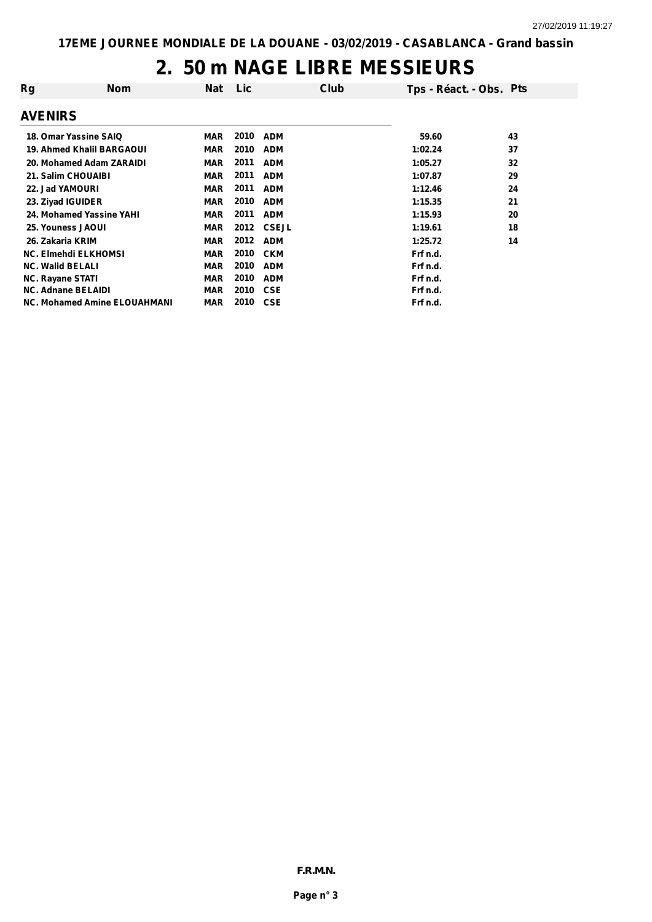#### **2. 50 m NAGE LIBRE MESSIEURS**

| Rg                                  | <b>Nom</b> | <b>Nat</b> | Lic  |              | Club | Tps - Réact. - Obs. Pts |    |
|-------------------------------------|------------|------------|------|--------------|------|-------------------------|----|
| <b>AVENIRS</b>                      |            |            |      |              |      |                         |    |
| 18. Omar Yassine SAIQ               |            | <b>MAR</b> | 2010 | <b>ADM</b>   |      | 59.60                   | 43 |
| 19. Ahmed Khalil BARGAOUI           |            | <b>MAR</b> | 2010 | <b>ADM</b>   |      | 1:02.24                 | 37 |
| 20. Mohamed Adam ZARAIDI            |            | <b>MAR</b> | 2011 | <b>ADM</b>   |      | 1:05.27                 | 32 |
| 21. Salim CHOUAIBI                  |            | <b>MAR</b> | 2011 | <b>ADM</b>   |      | 1:07.87                 | 29 |
| 22. Jad YAMOURI                     |            | <b>MAR</b> | 2011 | <b>ADM</b>   |      | 1:12.46                 | 24 |
| 23. Ziyad IGUIDER                   |            | <b>MAR</b> | 2010 | <b>ADM</b>   |      | 1:15.35                 | 21 |
| 24. Mohamed Yassine YAHI            |            | <b>MAR</b> | 2011 | <b>ADM</b>   |      | 1:15.93                 | 20 |
| 25. Youness JAOUI                   |            | <b>MAR</b> | 2012 | <b>CSEJL</b> |      | 1:19.61                 | 18 |
| 26. Zakaria KRIM                    |            | <b>MAR</b> | 2012 | <b>ADM</b>   |      | 1:25.72                 | 14 |
| <b>NC. Elmehdi ELKHOMSI</b>         |            | <b>MAR</b> | 2010 | <b>CKM</b>   |      | Frf n.d.                |    |
| <b>NC. Walid BELALI</b>             |            | <b>MAR</b> | 2010 | <b>ADM</b>   |      | Frf n.d.                |    |
| <b>NC. Rayane STATI</b>             |            | <b>MAR</b> | 2010 | <b>ADM</b>   |      | Frf n.d.                |    |
| <b>NC. Adnane BELAIDI</b>           |            | <b>MAR</b> | 2010 | <b>CSE</b>   |      | Frf n.d.                |    |
| <b>NC. Mohamed Amine ELOUAHMANI</b> |            | <b>MAR</b> | 2010 | <b>CSE</b>   |      | Frf n.d.                |    |
|                                     |            |            |      |              |      |                         |    |

*F.R.M.N.*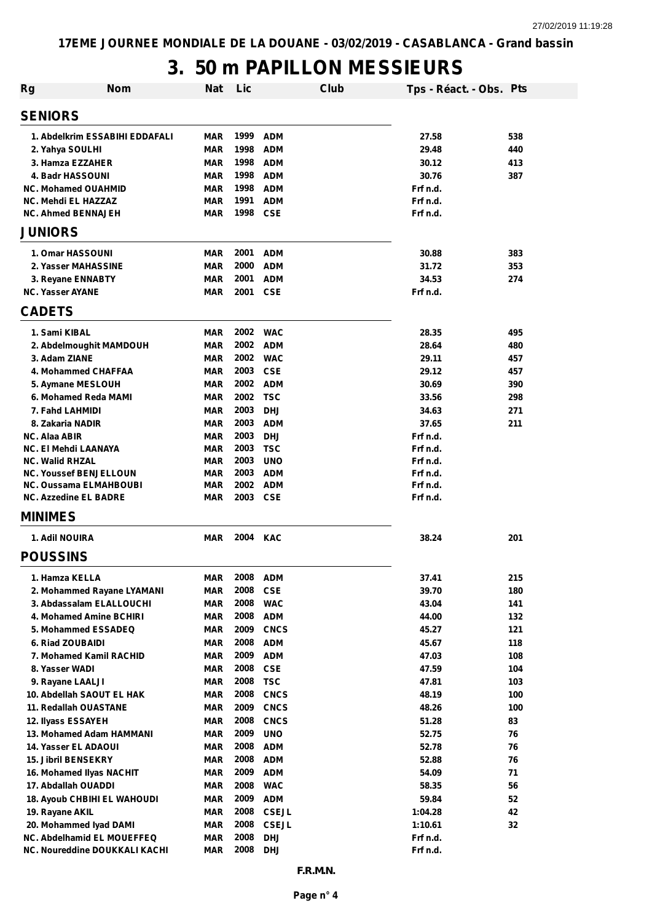# **3. 50 m PAPILLON MESSIEURS**

| Rg                                                  | <b>Nom</b> | Nat                      | Lic          |                            | Club | Tps - Réact. - Obs. Pts |           |
|-----------------------------------------------------|------------|--------------------------|--------------|----------------------------|------|-------------------------|-----------|
| <b>SENIORS</b>                                      |            |                          |              |                            |      |                         |           |
| 1. Abdelkrim ESSABIHI EDDAFALI                      |            | <b>MAR</b>               | 1999         | <b>ADM</b>                 |      | 27.58                   | 538       |
| 2. Yahya SOULHI                                     |            | <b>MAR</b>               | 1998         | <b>ADM</b>                 |      | 29.48                   | 440       |
| 3. Hamza EZZAHER                                    |            | <b>MAR</b>               | 1998         | <b>ADM</b>                 |      | 30.12                   | 413       |
| 4. Badr HASSOUNI                                    |            | <b>MAR</b>               | 1998         | <b>ADM</b>                 |      | 30.76                   | 387       |
| <b>NC. Mohamed OUAHMID</b>                          |            | <b>MAR</b>               | 1998         | <b>ADM</b>                 |      | Frf n.d.                |           |
| <b>NC. Mehdi EL HAZZAZ</b>                          |            | <b>MAR</b>               | 1991         | <b>ADM</b>                 |      | Frf n.d.                |           |
| <b>NC. Ahmed BENNAJEH</b>                           |            | <b>MAR</b>               | 1998         | <b>CSE</b>                 |      | Frf n.d.                |           |
| <b>JUNIORS</b>                                      |            |                          |              |                            |      |                         |           |
| 1. Omar HASSOUNI                                    |            | <b>MAR</b>               | 2001         | <b>ADM</b>                 |      | 30.88                   | 383       |
| 2. Yasser MAHASSINE                                 |            | <b>MAR</b>               | 2000         | <b>ADM</b>                 |      | 31.72                   | 353       |
| 3. Reyane ENNABTY                                   |            | <b>MAR</b>               | 2001         | <b>ADM</b>                 |      | 34.53                   | 274       |
| <b>NC. Yasser AYANE</b>                             |            | <b>MAR</b>               | 2001         | <b>CSE</b>                 |      | Frf n.d.                |           |
| <b>CADETS</b>                                       |            |                          |              |                            |      |                         |           |
| 1. Sami KIBAL                                       |            | <b>MAR</b>               | 2002         | <b>WAC</b>                 |      | 28.35                   | 495       |
| 2. Abdelmoughit MAMDOUH                             |            | <b>MAR</b>               | 2002         | <b>ADM</b>                 |      | 28.64                   | 480       |
| 3. Adam ZIANE                                       |            | <b>MAR</b>               | 2002         | <b>WAC</b>                 |      | 29.11                   | 457       |
| 4. Mohammed CHAFFAA                                 |            | <b>MAR</b>               | 2003         | <b>CSE</b>                 |      | 29.12                   | 457       |
| 5. Aymane MESLOUH                                   |            | <b>MAR</b>               | 2002         | <b>ADM</b>                 |      | 30.69                   | 390       |
| 6. Mohamed Reda MAMI                                |            | <b>MAR</b>               | 2002         | <b>TSC</b>                 |      | 33.56                   | 298       |
| 7. Fahd LAHMIDI                                     |            | <b>MAR</b>               | 2003         | <b>DHJ</b>                 |      | 34.63                   | 271       |
| 8. Zakaria NADIR                                    |            | <b>MAR</b>               | 2003<br>2003 | <b>ADM</b><br><b>DHJ</b>   |      | 37.65<br>Frf n.d.       | 211       |
| <b>NC. Alaa ABIR</b><br><b>NC. El Mehdi LAANAYA</b> |            | <b>MAR</b><br><b>MAR</b> | 2003         | <b>TSC</b>                 |      | Frf n.d.                |           |
| <b>NC. Walid RHZAL</b>                              |            | <b>MAR</b>               | 2003         | <b>UNO</b>                 |      | Frf n.d.                |           |
| <b>NC. Youssef BENJELLOUN</b>                       |            | <b>MAR</b>               | 2003         | <b>ADM</b>                 |      | Frf n.d.                |           |
| <b>NC. Oussama ELMAHBOUBI</b>                       |            | <b>MAR</b>               | 2002         | <b>ADM</b>                 |      | Frf n.d.                |           |
| <b>NC. Azzedine EL BADRE</b>                        |            | <b>MAR</b>               | 2003         | <b>CSE</b>                 |      | Frf n.d.                |           |
| <b>MINIMES</b>                                      |            |                          |              |                            |      |                         |           |
| 1. Adil NOUIRA                                      |            | <b>MAR</b>               | 2004 KAC     |                            |      | 38.24                   | 201       |
| <b>POUSSINS</b>                                     |            |                          |              |                            |      |                         |           |
| 1. Hamza KELLA                                      |            | <b>MAR</b>               | 2008         | <b>ADM</b>                 |      | 37.41                   | 215       |
| 2. Mohammed Rayane LYAMANI                          |            | <b>MAR</b>               | 2008         | <b>CSE</b>                 |      | 39.70                   | 180       |
| 3. Abdassalam ELALLOUCHI                            |            | <b>MAR</b>               | 2008         | <b>WAC</b>                 |      | 43.04                   | 141       |
| 4. Mohamed Amine BCHIRI                             |            | <b>MAR</b>               | 2008         | <b>ADM</b>                 |      | 44.00                   | 132       |
| 5. Mohammed ESSADEQ                                 |            | <b>MAR</b>               | 2009         | <b>CNCS</b>                |      | 45.27                   | 121       |
| 6. Riad ZOUBAIDI                                    |            | <b>MAR</b>               | 2008         | <b>ADM</b>                 |      | 45.67                   | 118       |
| 7. Mohamed Kamil RACHID                             |            | <b>MAR</b>               | 2009         | <b>ADM</b>                 |      | 47.03                   | 108       |
| 8. Yasser WADI                                      |            | <b>MAR</b>               | 2008         | <b>CSE</b>                 |      | 47.59                   | 104       |
| 9. Rayane LAALJI                                    |            | <b>MAR</b>               | 2008         | <b>TSC</b>                 |      | 47.81                   | 103       |
| 10. Abdellah SAOUT EL HAK                           |            | <b>MAR</b>               | 2008         | <b>CNCS</b>                |      | 48.19                   | 100       |
| 11. Redallah OUASTANE                               |            | <b>MAR</b><br><b>MAR</b> | 2009<br>2008 | <b>CNCS</b><br><b>CNCS</b> |      | 48.26<br>51.28          | 100<br>83 |
| 12. Ilyass ESSAYEH<br>13. Mohamed Adam HAMMANI      |            | <b>MAR</b>               | 2009         | <b>UNO</b>                 |      | 52.75                   | 76        |
| 14. Yasser EL ADAOUI                                |            | <b>MAR</b>               | 2008         | <b>ADM</b>                 |      | 52.78                   | 76        |
| 15. Jibril BENSEKRY                                 |            | <b>MAR</b>               | 2008         | <b>ADM</b>                 |      | 52.88                   | 76        |
| 16. Mohamed Ilyas NACHIT                            |            | <b>MAR</b>               | 2009         | <b>ADM</b>                 |      | 54.09                   | 71        |
| 17. Abdallah OUADDI                                 |            | <b>MAR</b>               | 2008         | <b>WAC</b>                 |      | 58.35                   | 56        |
| 18. Ayoub CHBIHI EL WAHOUDI                         |            | <b>MAR</b>               | 2009         | <b>ADM</b>                 |      | 59.84                   | 52        |
| 19. Rayane AKIL                                     |            | <b>MAR</b>               | 2008         | <b>CSEJL</b>               |      | 1:04.28                 | 42        |
| 20. Mohammed Iyad DAMI                              |            | <b>MAR</b>               | 2008         | <b>CSEJL</b>               |      | 1:10.61                 | 32        |
| <b>NC. Abdelhamid EL MOUEFFEQ</b>                   |            | <b>MAR</b>               | 2008         | <b>DHJ</b>                 |      | Frf n.d.                |           |
| NC. Noureddine DOUKKALI KACHI                       |            | <b>MAR</b>               | 2008         | <b>DHJ</b>                 |      | Frf n.d.                |           |
|                                                     |            |                          |              | F.R.M.N.                   |      |                         |           |
|                                                     |            |                          |              | Page n° 4                  |      |                         |           |
|                                                     |            |                          |              |                            |      |                         |           |
|                                                     |            |                          |              |                            |      |                         |           |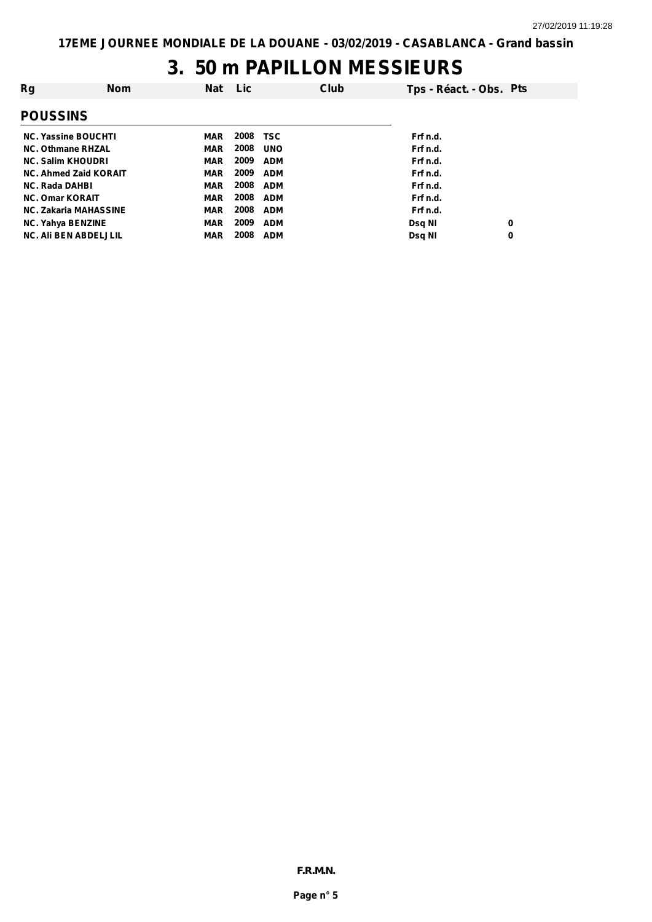# **3. 50 m PAPILLON MESSIEURS**

| Rg                         | <b>Nom</b>                   | Nat        | Lic  |            | <b>Club</b> | Tps - Réact. - Obs. Pts |   |
|----------------------------|------------------------------|------------|------|------------|-------------|-------------------------|---|
| <b>POUSSINS</b>            |                              |            |      |            |             |                         |   |
| <b>NC. Yassine BOUCHTI</b> |                              | MAR        | 2008 | <b>TSC</b> |             | Frf n.d.                |   |
| <b>NC. Othmane RHZAL</b>   |                              | MAR        | 2008 | <b>UNO</b> |             | Frf n.d.                |   |
| <b>NC. Salim KHOUDRI</b>   |                              | <b>MAR</b> | 2009 | <b>ADM</b> |             | Frf n.d.                |   |
|                            | <b>NC. Ahmed Zaid KORAIT</b> | MAR        | 2009 | <b>ADM</b> |             | Frf n.d.                |   |
| <b>NC. Rada DAHBI</b>      |                              | MAR        | 2008 | <b>ADM</b> |             | Frf n.d.                |   |
| <b>NC. Omar KORAIT</b>     |                              | MAR        | 2008 | <b>ADM</b> |             | Frf n.d.                |   |
|                            | <b>NC. Zakaria MAHASSINE</b> | <b>MAR</b> | 2008 | <b>ADM</b> |             | Frf n.d.                |   |
| <b>NC. Yahya BENZINE</b>   |                              | <b>MAR</b> | 2009 | <b>ADM</b> |             | <b>Dsg NI</b>           | 0 |
|                            | <b>NC. Ali BEN ABDELJLIL</b> | <b>MAR</b> | 2008 | <b>ADM</b> |             | Dsq NI                  | 0 |

*F.R.M.N.*